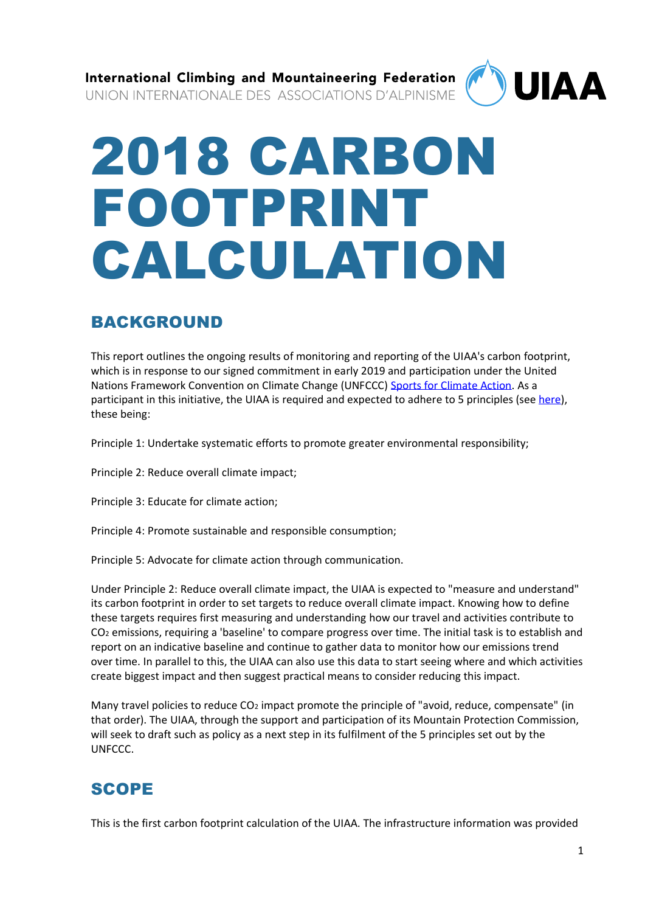International Climbing and Mountaineering Federation **UIAA** UNION INTERNATIONALE DES ASSOCIATIONS D'ALPINISME

# 2018 CARBON FOOTPRINT CALCULATION

# BACKGROUND

This report outlines the ongoing results of monitoring and reporting of the UIAA's carbon footprint, which is in response to our signed commitment in early 2019 and participation under the United Nations Framework Convention on Climate Change (UNFCCC) [Sports for Climate Action.](https://unfccc.int/climate-action/sectoral-engagement/sports-for-climate-action/participants-in-the-sports-for-climate-action-framework) As a participant in this initiative, the UIAA is required and expected to adhere to 5 principles (see [here\)](https://unfccc.int/sites/default/files/resource/Sports_for_Climate_Action_Declaration_and_Framework.pdf), these being:

Principle 1: Undertake systematic efforts to promote greater environmental responsibility;

Principle 2: Reduce overall climate impact;

Principle 3: Educate for climate action;

Principle 4: Promote sustainable and responsible consumption;

Principle 5: Advocate for climate action through communication.

Under Principle 2: Reduce overall climate impact, the UIAA is expected to "measure and understand" its carbon footprint in order to set targets to reduce overall climate impact. Knowing how to define these targets requires first measuring and understanding how our travel and activities contribute to CO<sup>2</sup> emissions, requiring a 'baseline' to compare progress over time. The initial task is to establish and report on an indicative baseline and continue to gather data to monitor how our emissions trend over time. In parallel to this, the UIAA can also use this data to start seeing where and which activities create biggest impact and then suggest practical means to consider reducing this impact.

Many travel policies to reduce CO<sub>2</sub> impact promote the principle of "avoid, reduce, compensate" (in that order). The UIAA, through the support and participation of its Mountain Protection Commission, will seek to draft such as policy as a next step in its fulfilment of the 5 principles set out by the UNFCCC.

# SCOPE

This is the first carbon footprint calculation of the UIAA. The infrastructure information was provided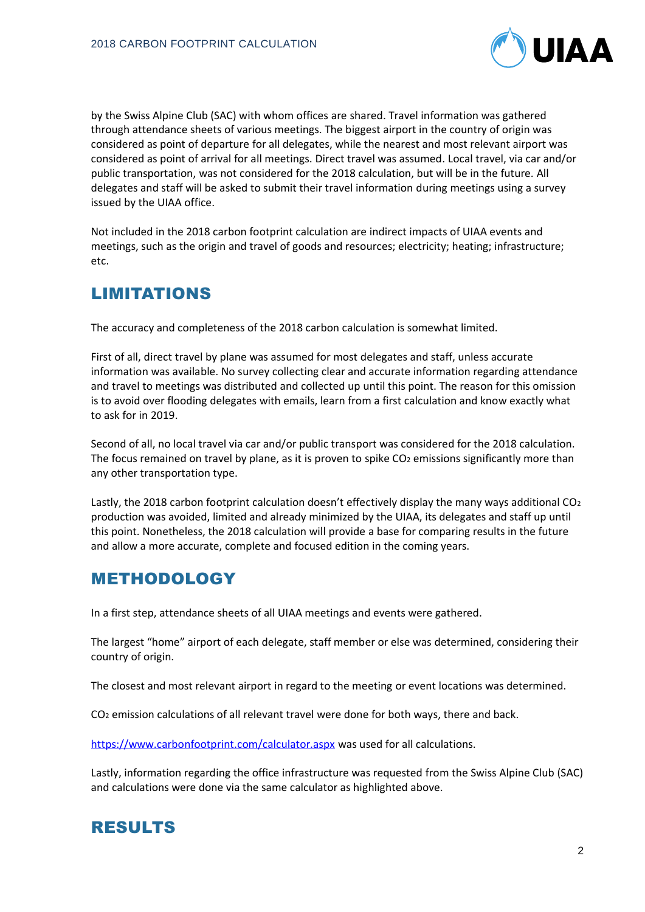

by the Swiss Alpine Club (SAC) with whom offices are shared. Travel information was gathered through attendance sheets of various meetings. The biggest airport in the country of origin was considered as point of departure for all delegates, while the nearest and most relevant airport was considered as point of arrival for all meetings. Direct travel was assumed. Local travel, via car and/or public transportation, was not considered for the 2018 calculation, but will be in the future. All delegates and staff will be asked to submit their travel information during meetings using a survey issued by the UIAA office.

Not included in the 2018 carbon footprint calculation are indirect impacts of UIAA events and meetings, such as the origin and travel of goods and resources; electricity; heating; infrastructure; etc.

## LIMITATIONS

The accuracy and completeness of the 2018 carbon calculation is somewhat limited.

First of all, direct travel by plane was assumed for most delegates and staff, unless accurate information was available. No survey collecting clear and accurate information regarding attendance and travel to meetings was distributed and collected up until this point. The reason for this omission is to avoid over flooding delegates with emails, learn from a first calculation and know exactly what to ask for in 2019.

Second of all, no local travel via car and/or public transport was considered for the 2018 calculation. The focus remained on travel by plane, as it is proven to spike CO2 emissions significantly more than any other transportation type.

Lastly, the 2018 carbon footprint calculation doesn't effectively display the many ways additional CO<sub>2</sub> production was avoided, limited and already minimized by the UIAA, its delegates and staff up until this point. Nonetheless, the 2018 calculation will provide a base for comparing results in the future and allow a more accurate, complete and focused edition in the coming years.

## METHODOLOGY

In a first step, attendance sheets of all UIAA meetings and events were gathered.

The largest "home" airport of each delegate, staff member or else was determined, considering their country of origin.

The closest and most relevant airport in regard to the meeting or event locations was determined.

CO<sup>2</sup> emission calculations of all relevant travel were done for both ways, there and back.

<https://www.carbonfootprint.com/calculator.aspx> was used for all calculations.

Lastly, information regarding the office infrastructure was requested from the Swiss Alpine Club (SAC) and calculations were done via the same calculator as highlighted above.

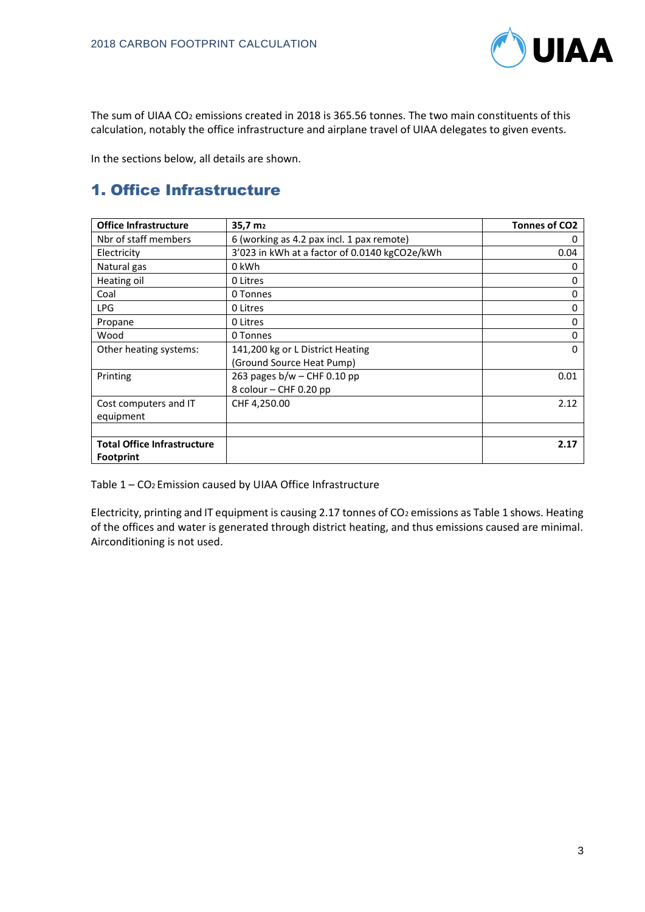

The sum of UIAA CO<sup>2</sup> emissions created in 2018 is 365.56 tonnes. The two main constituents of this calculation, notably the office infrastructure and airplane travel of UIAA delegates to given events.

In the sections below, all details are shown.

## 1. Office Infrastructure

| <b>Office Infrastructure</b>       | 35,7 m <sub>2</sub>                           | <b>Tonnes of CO2</b> |
|------------------------------------|-----------------------------------------------|----------------------|
| Nbr of staff members               | 6 (working as 4.2 pax incl. 1 pax remote)     | 0                    |
| Electricity                        | 3'023 in kWh at a factor of 0.0140 kgCO2e/kWh | 0.04                 |
| Natural gas                        | 0 kWh                                         | 0                    |
| Heating oil                        | 0 Litres                                      | 0                    |
| Coal                               | 0 Tonnes                                      | 0                    |
| <b>LPG</b>                         | 0 Litres                                      | 0                    |
| Propane                            | 0 Litres                                      | 0                    |
| Wood                               | 0 Tonnes                                      | 0                    |
| Other heating systems:             | 141,200 kg or L District Heating              | $\Omega$             |
|                                    | (Ground Source Heat Pump)                     |                      |
| Printing                           | 263 pages $b/w$ – CHF 0.10 pp                 | 0.01                 |
|                                    | 8 colour – CHF 0.20 pp                        |                      |
| Cost computers and IT              | CHF 4,250.00                                  | 2.12                 |
| equipment                          |                                               |                      |
|                                    |                                               |                      |
| <b>Total Office Infrastructure</b> |                                               | 2.17                 |
| <b>Footprint</b>                   |                                               |                      |

Table 1 – CO2 Emission caused by UIAA Office Infrastructure

Electricity, printing and IT equipment is causing 2.17 tonnes of CO<sub>2</sub> emissions as Table 1 shows. Heating of the offices and water is generated through district heating, and thus emissions caused are minimal. Airconditioning is not used.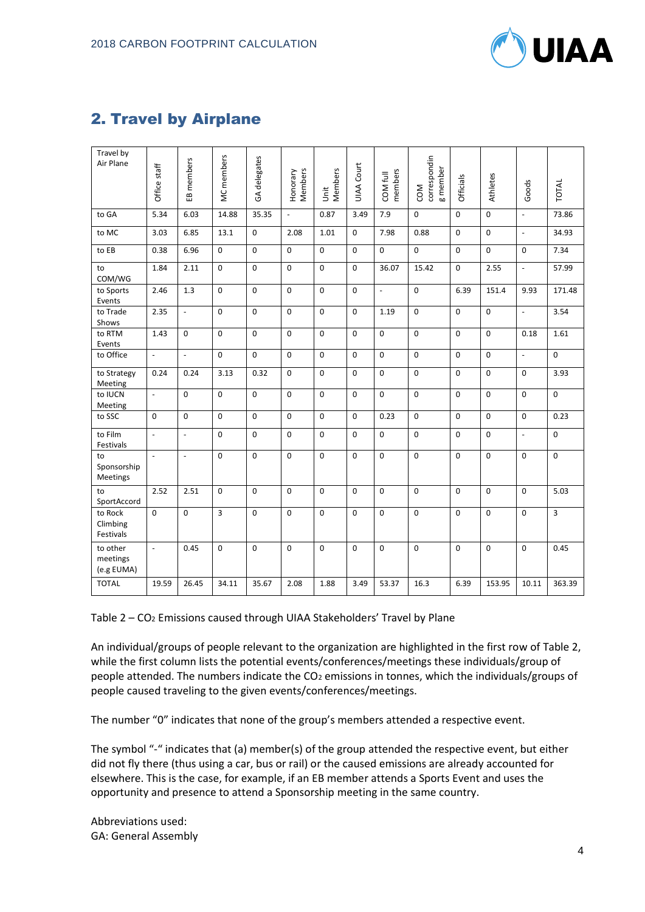

## 2. Travel by Airplane

| Travel by<br>Air Plane             |                          |                          |             |              |                     |              |                   |                          |                                        |             |             |                |             |
|------------------------------------|--------------------------|--------------------------|-------------|--------------|---------------------|--------------|-------------------|--------------------------|----------------------------------------|-------------|-------------|----------------|-------------|
|                                    | Office staff             | EB members               | MC members  | GA delegates | Members<br>Honorary | Members<br>İ | <b>UIAA Court</b> | members<br>COM full      | correspondin<br>g member<br><b>NO2</b> | Officials   | Athletes    | Goods          | TOTAL       |
| to GA                              | 5.34                     | 6.03                     | 14.88       | 35.35        | $\frac{1}{2}$       | 0.87         | 3.49              | 7.9                      | $\mathbf 0$                            | $\Omega$    | $\mathbf 0$ | $\overline{a}$ | 73.86       |
| to MC                              | 3.03                     | 6.85                     | 13.1        | $\mathbf 0$  | 2.08                | 1.01         | $\mathbf 0$       | 7.98                     | 0.88                                   | $\mathbf 0$ | $\mathbf 0$ | $\overline{a}$ | 34.93       |
| to EB                              | 0.38                     | 6.96                     | $\Omega$    | $\Omega$     | 0                   | $\Omega$     | 0                 | 0                        | $\mathbf 0$                            | $\mathbf 0$ | $\mathbf 0$ | $\mathbf 0$    | 7.34        |
| to<br>COM/WG                       | 1.84                     | 2.11                     | $\mathbf 0$ | $\mathbf 0$  | 0                   | $\mathbf 0$  | 0                 | 36.07                    | 15.42                                  | $\mathbf 0$ | 2.55        | $\overline{a}$ | 57.99       |
| to Sports<br>Events                | 2.46                     | 1.3                      | $\mathbf 0$ | $\mathbf 0$  | $\mathsf 0$         | $\mathbf 0$  | $\mathbf 0$       | $\overline{\phantom{a}}$ | $\mathbf 0$                            | 6.39        | 151.4       | 9.93           | 171.48      |
| to Trade<br>Shows                  | 2.35                     | $\overline{a}$           | $\mathbf 0$ | $\mathbf 0$  | 0                   | $\mathbf 0$  | $\mathbf 0$       | 1.19                     | $\mathbf 0$                            | $\mathbf 0$ | $\mathbf 0$ | $\overline{a}$ | 3.54        |
| to RTM<br>Events                   | 1.43                     | $\Omega$                 | $\Omega$    | $\Omega$     | 0                   | $\mathbf 0$  | $\Omega$          | 0                        | $\Omega$                               | $\Omega$    | $\mathbf 0$ | 0.18           | 1.61        |
| to Office                          | $\mathbb{L}$             | $\overline{a}$           | $\mathbf 0$ | $\mathbf 0$  | 0                   | $\mathbf 0$  | 0                 | 0                        | $\mathbf 0$                            | 0           | $\pmb{0}$   | $\overline{a}$ | 0           |
| to Strategy<br>Meeting             | 0.24                     | 0.24                     | 3.13        | 0.32         | $\mathsf 0$         | $\mathbf 0$  | $\mathbf 0$       | 0                        | $\mathbf 0$                            | $\mathbf 0$ | $\pmb{0}$   | $\mathbf 0$    | 3.93        |
| to IUCN<br>Meeting                 | $\overline{\phantom{a}}$ | $\Omega$                 | $\Omega$    | $\Omega$     | 0                   | $\Omega$     | $\Omega$          | 0                        | $\Omega$                               | $\Omega$    | $\Omega$    | $\Omega$       | $\Omega$    |
| to SSC                             | $\mathbf 0$              | 0                        | $\mathbf 0$ | $\mathbf 0$  | 0                   | $\mathbf 0$  | $\mathbf 0$       | 0.23                     | $\mathbf 0$                            | $\mathbf 0$ | $\mathbf 0$ | $\mathbf 0$    | 0.23        |
| to Film<br>Festivals               | $\overline{\phantom{a}}$ | $\overline{\phantom{a}}$ | $\mathbf 0$ | $\mathbf 0$  | 0                   | $\pmb{0}$    | 0                 | $\pmb{0}$                | $\pmb{0}$                              | $\pmb{0}$   | $\pmb{0}$   | $\overline{a}$ | $\mathsf 0$ |
| to<br>Sponsorship<br>Meetings      | $\overline{\phantom{a}}$ | $\overline{\phantom{a}}$ | $\mathbf 0$ | $\Omega$     | $\mathbf 0$         | $\mathbf 0$  | $\mathbf 0$       | $\mathbf 0$              | $\mathbf 0$                            | $\mathbf 0$ | $\mathbf 0$ | $\mathbf 0$    | $\mathbf 0$ |
| to<br>SportAccord                  | 2.52                     | 2.51                     | $\mathbf 0$ | $\mathbf 0$  | $\mathbf 0$         | $\mathbf 0$  | $\mathbf 0$       | 0                        | $\mathbf 0$                            | $\mathbf 0$ | $\mathbf 0$ | $\mathbf 0$    | 5.03        |
| to Rock<br>Climbing<br>Festivals   | $\mathbf 0$              | 0                        | 3           | $\mathbf 0$  | 0                   | $\mathbf 0$  | 0                 | $\mathbf 0$              | $\mathbf 0$                            | $\mathbf 0$ | $\mathbf 0$ | $\mathbf 0$    | 3           |
| to other<br>meetings<br>(e.g EUMA) | $\overline{\phantom{a}}$ | 0.45                     | $\mathbf 0$ | $\mathbf 0$  | $\mathbf 0$         | $\mathbf 0$  | $\mathbf 0$       | $\mathbf 0$              | $\mathbf 0$                            | $\mathbf 0$ | $\mathbf 0$ | $\mathbf 0$    | 0.45        |
| <b>TOTAL</b>                       | 19.59                    | 26.45                    | 34.11       | 35.67        | 2.08                | 1.88         | 3.49              | 53.37                    | 16.3                                   | 6.39        | 153.95      | 10.11          | 363.39      |

Table 2 – CO<sup>2</sup> Emissions caused through UIAA Stakeholders' Travel by Plane

An individual/groups of people relevant to the organization are highlighted in the first row of Table 2, while the first column lists the potential events/conferences/meetings these individuals/group of people attended. The numbers indicate the CO<sub>2</sub> emissions in tonnes, which the individuals/groups of people caused traveling to the given events/conferences/meetings.

The number "0" indicates that none of the group's members attended a respective event.

The symbol "-" indicates that (a) member(s) of the group attended the respective event, but either did not fly there (thus using a car, bus or rail) or the caused emissions are already accounted for elsewhere. This is the case, for example, if an EB member attends a Sports Event and uses the opportunity and presence to attend a Sponsorship meeting in the same country.

Abbreviations used: GA: General Assembly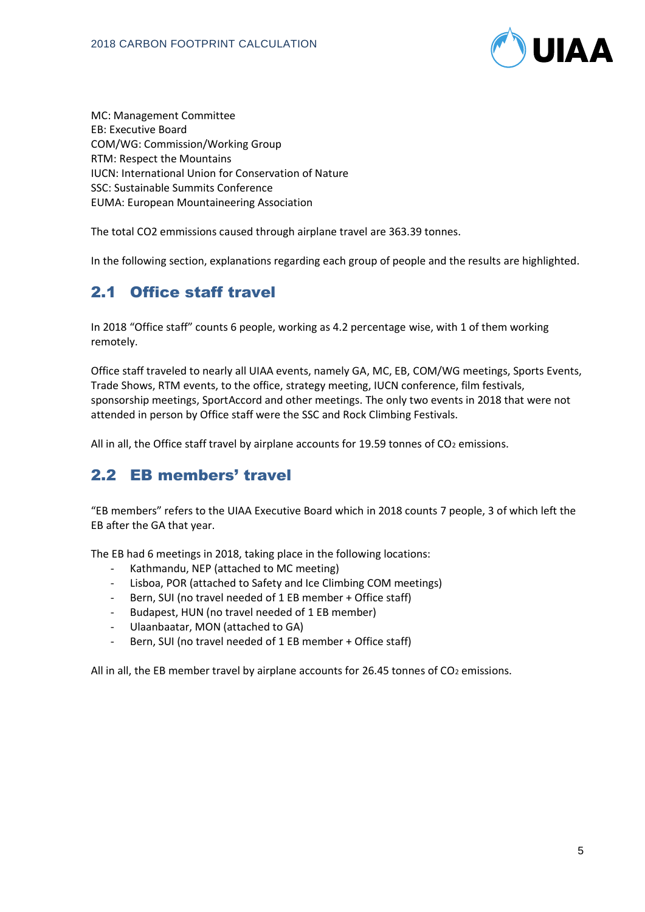

MC: Management Committee EB: Executive Board COM/WG: Commission/Working Group RTM: Respect the Mountains IUCN: International Union for Conservation of Nature SSC: Sustainable Summits Conference EUMA: European Mountaineering Association

The total CO2 emmissions caused through airplane travel are 363.39 tonnes.

In the following section, explanations regarding each group of people and the results are highlighted.

## 2.1 Office staff travel

In 2018 "Office staff" counts 6 people, working as 4.2 percentage wise, with 1 of them working remotely.

Office staff traveled to nearly all UIAA events, namely GA, MC, EB, COM/WG meetings, Sports Events, Trade Shows, RTM events, to the office, strategy meeting, IUCN conference, film festivals, sponsorship meetings, SportAccord and other meetings. The only two events in 2018 that were not attended in person by Office staff were the SSC and Rock Climbing Festivals.

All in all, the Office staff travel by airplane accounts for 19.59 tonnes of  $CO<sub>2</sub>$  emissions.

#### 2.2 EB members' travel

"EB members" refers to the UIAA Executive Board which in 2018 counts 7 people, 3 of which left the EB after the GA that year.

The EB had 6 meetings in 2018, taking place in the following locations:

- Kathmandu, NEP (attached to MC meeting)
- Lisboa, POR (attached to Safety and Ice Climbing COM meetings)
- Bern, SUI (no travel needed of 1 EB member + Office staff)
- Budapest, HUN (no travel needed of 1 EB member)
- Ulaanbaatar, MON (attached to GA)
- Bern, SUI (no travel needed of 1 EB member + Office staff)

All in all, the EB member travel by airplane accounts for 26.45 tonnes of CO<sub>2</sub> emissions.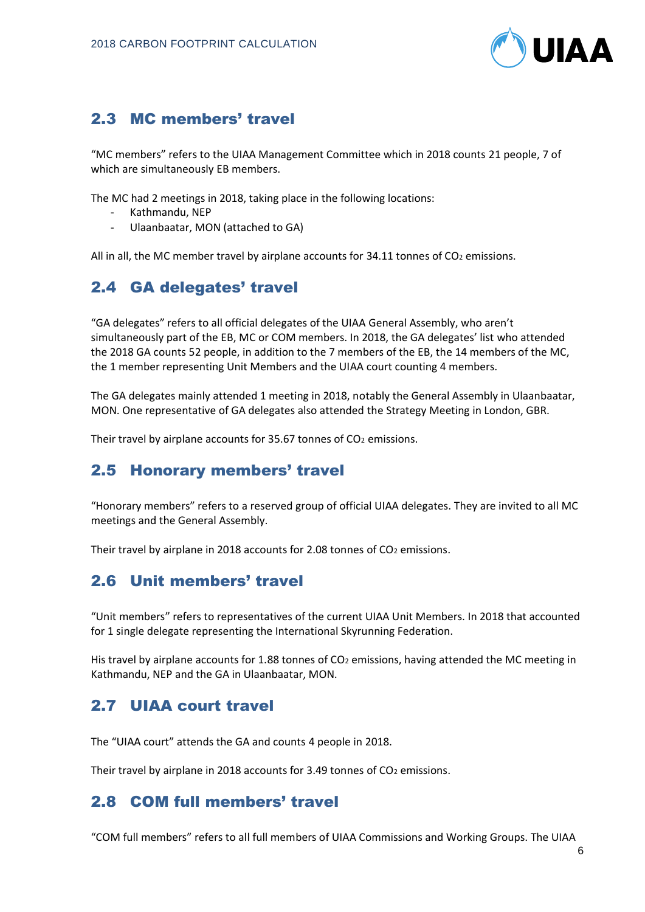

## 2.3 MC members' travel

"MC members" refers to the UIAA Management Committee which in 2018 counts 21 people, 7 of which are simultaneously EB members.

The MC had 2 meetings in 2018, taking place in the following locations:

- Kathmandu, NEP
- Ulaanbaatar, MON (attached to GA)

All in all, the MC member travel by airplane accounts for 34.11 tonnes of CO<sub>2</sub> emissions.

## 2.4 GA delegates' travel

"GA delegates" refers to all official delegates of the UIAA General Assembly, who aren't simultaneously part of the EB, MC or COM members. In 2018, the GA delegates' list who attended the 2018 GA counts 52 people, in addition to the 7 members of the EB, the 14 members of the MC, the 1 member representing Unit Members and the UIAA court counting 4 members.

The GA delegates mainly attended 1 meeting in 2018, notably the General Assembly in Ulaanbaatar, MON. One representative of GA delegates also attended the Strategy Meeting in London, GBR.

Their travel by airplane accounts for 35.67 tonnes of CO<sub>2</sub> emissions.

#### 2.5 Honorary members' travel

"Honorary members" refers to a reserved group of official UIAA delegates. They are invited to all MC meetings and the General Assembly.

Their travel by airplane in 2018 accounts for 2.08 tonnes of  $CO<sub>2</sub>$  emissions.

#### 2.6 Unit members' travel

"Unit members" refers to representatives of the current UIAA Unit Members. In 2018 that accounted for 1 single delegate representing the International Skyrunning Federation.

His travel by airplane accounts for 1.88 tonnes of  $CO<sub>2</sub>$  emissions, having attended the MC meeting in Kathmandu, NEP and the GA in Ulaanbaatar, MON.

#### 2.7 UIAA court travel

The "UIAA court" attends the GA and counts 4 people in 2018.

Their travel by airplane in 2018 accounts for 3.49 tonnes of CO<sub>2</sub> emissions.

#### 2.8 COM full members' travel

"COM full members" refers to all full members of UIAA Commissions and Working Groups. The UIAA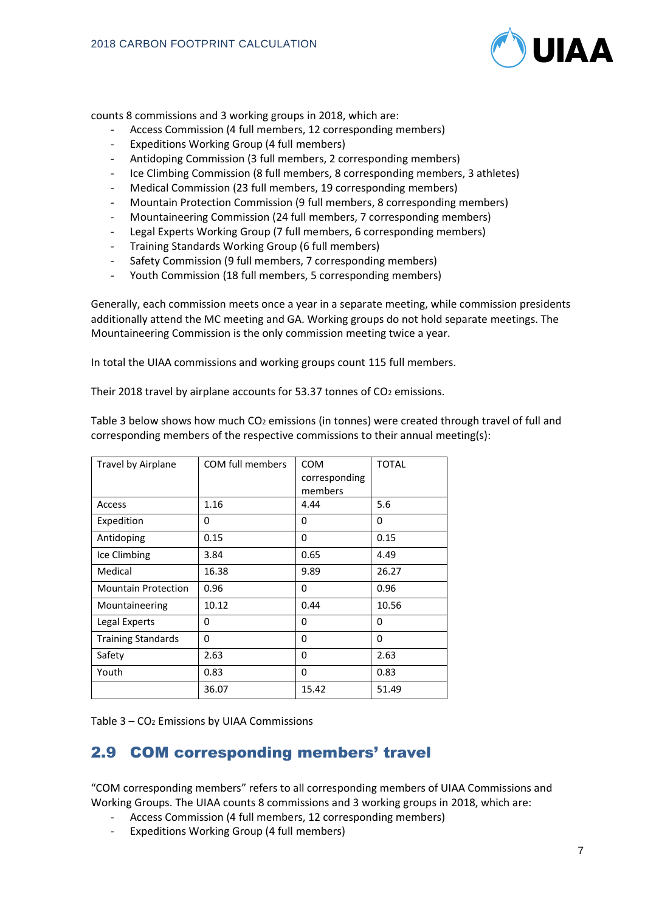

counts 8 commissions and 3 working groups in 2018, which are:

- Access Commission (4 full members, 12 corresponding members)
- Expeditions Working Group (4 full members)
- Antidoping Commission (3 full members, 2 corresponding members)
- Ice Climbing Commission (8 full members, 8 corresponding members, 3 athletes)
- Medical Commission (23 full members, 19 corresponding members)
- Mountain Protection Commission (9 full members, 8 corresponding members)
- Mountaineering Commission (24 full members, 7 corresponding members)
- Legal Experts Working Group (7 full members, 6 corresponding members)
- Training Standards Working Group (6 full members)
- Safety Commission (9 full members, 7 corresponding members)
- Youth Commission (18 full members, 5 corresponding members)

Generally, each commission meets once a year in a separate meeting, while commission presidents additionally attend the MC meeting and GA. Working groups do not hold separate meetings. The Mountaineering Commission is the only commission meeting twice a year.

In total the UIAA commissions and working groups count 115 full members.

Their 2018 travel by airplane accounts for 53.37 tonnes of CO<sub>2</sub> emissions.

| <b>Travel by Airplane</b>  | COM full members | <b>COM</b><br>corresponding<br>members | <b>TOTAL</b> |
|----------------------------|------------------|----------------------------------------|--------------|
| Access                     | 1.16             | 4.44                                   | 5.6          |
| Expedition                 | 0                | $\Omega$                               | 0            |
| Antidoping                 | 0.15             | 0                                      | 0.15         |
| Ice Climbing               | 3.84             | 0.65                                   | 4.49         |
| Medical                    | 16.38            | 9.89                                   | 26.27        |
| <b>Mountain Protection</b> | 0.96             | 0                                      | 0.96         |
| Mountaineering             | 10.12            | 0.44                                   | 10.56        |
| Legal Experts              | 0                | 0                                      | 0            |
| <b>Training Standards</b>  | 0                | $\Omega$                               | $\Omega$     |
| Safety                     | 2.63             | $\Omega$                               | 2.63         |
| Youth                      | 0.83             | 0                                      | 0.83         |
|                            | 36.07            | 15.42                                  | 51.49        |

Table 3 below shows how much CO<sub>2</sub> emissions (in tonnes) were created through travel of full and corresponding members of the respective commissions to their annual meeting(s):

Table 3 – CO<sup>2</sup> Emissions by UIAA Commissions

## 2.9 COM corresponding members' travel

"COM corresponding members" refers to all corresponding members of UIAA Commissions and Working Groups. The UIAA counts 8 commissions and 3 working groups in 2018, which are:

- Access Commission (4 full members, 12 corresponding members)
- Expeditions Working Group (4 full members)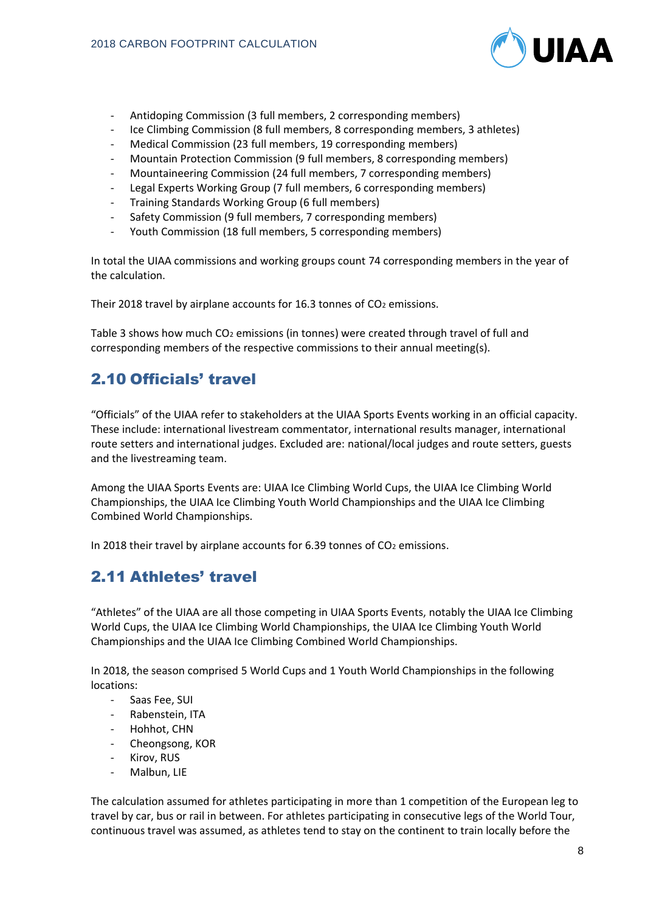

- Antidoping Commission (3 full members, 2 corresponding members)
- Ice Climbing Commission (8 full members, 8 corresponding members, 3 athletes)
- Medical Commission (23 full members, 19 corresponding members)
- Mountain Protection Commission (9 full members, 8 corresponding members)
- Mountaineering Commission (24 full members, 7 corresponding members)
- Legal Experts Working Group (7 full members, 6 corresponding members)
- Training Standards Working Group (6 full members)
- Safety Commission (9 full members, 7 corresponding members)
- Youth Commission (18 full members, 5 corresponding members)

In total the UIAA commissions and working groups count 74 corresponding members in the year of the calculation.

Their 2018 travel by airplane accounts for 16.3 tonnes of CO<sub>2</sub> emissions.

Table 3 shows how much CO<sub>2</sub> emissions (in tonnes) were created through travel of full and corresponding members of the respective commissions to their annual meeting(s).

## 2.10 Officials' travel

"Officials" of the UIAA refer to stakeholders at the UIAA Sports Events working in an official capacity. These include: international livestream commentator, international results manager, international route setters and international judges. Excluded are: national/local judges and route setters, guests and the livestreaming team.

Among the UIAA Sports Events are: UIAA Ice Climbing World Cups, the UIAA Ice Climbing World Championships, the UIAA Ice Climbing Youth World Championships and the UIAA Ice Climbing Combined World Championships.

In 2018 their travel by airplane accounts for  $6.39$  tonnes of  $CO<sub>2</sub>$  emissions.

## 2.11 Athletes' travel

"Athletes" of the UIAA are all those competing in UIAA Sports Events, notably the UIAA Ice Climbing World Cups, the UIAA Ice Climbing World Championships, the UIAA Ice Climbing Youth World Championships and the UIAA Ice Climbing Combined World Championships.

In 2018, the season comprised 5 World Cups and 1 Youth World Championships in the following locations:

- Saas Fee, SUI
- Rabenstein, ITA
- Hohhot, CHN
- Cheongsong, KOR
- Kirov, RUS
- Malbun, LIE

The calculation assumed for athletes participating in more than 1 competition of the European leg to travel by car, bus or rail in between. For athletes participating in consecutive legs of the World Tour, continuous travel was assumed, as athletes tend to stay on the continent to train locally before the